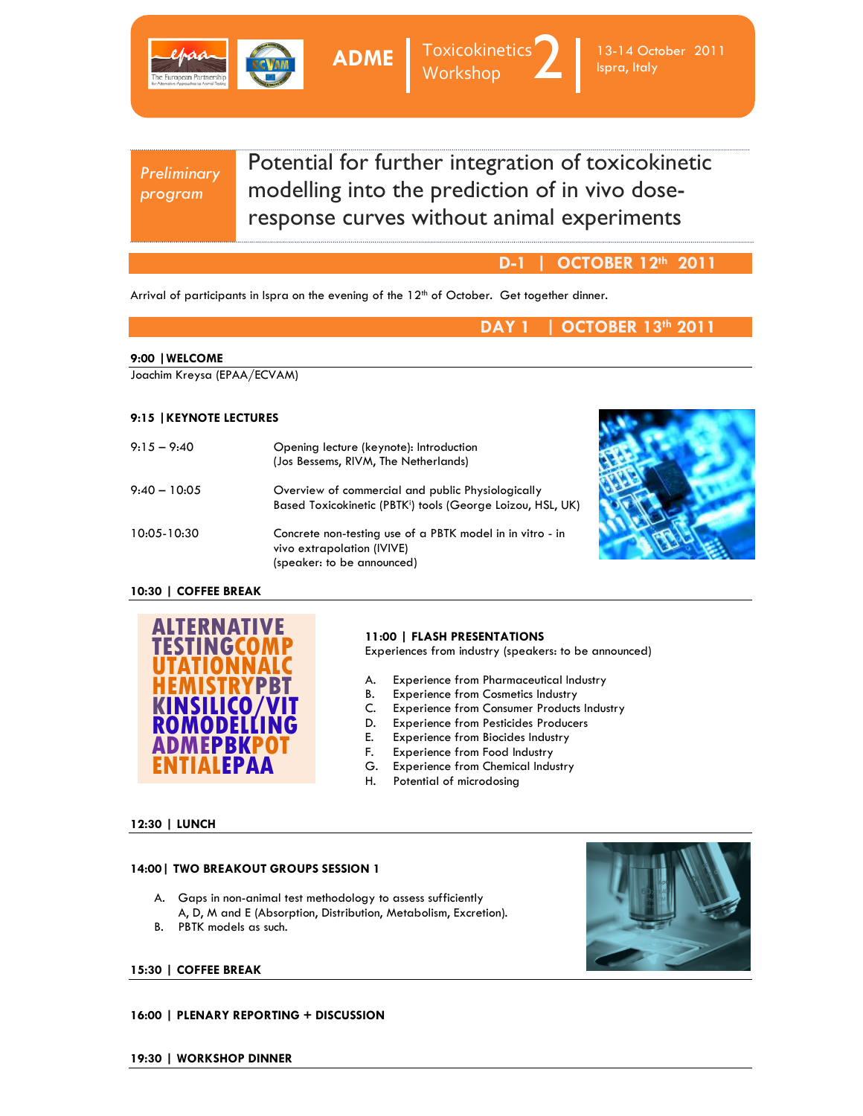



**Preliminary** program

Potential for further integration of toxicokinetic modelling into the prediction of in vivo doseresponse curves without animal experiments

# D-1 | OCTOBER 12<sup>th</sup> 2011

Arrival of participants in Ispra on the evening of the 12<sup>th</sup> of October. Get together dinner.

DAY 1 | OCTOBER 13th 2011

#### 9:00 |WELCOME

Joachim Kreysa (EPAA/ECVAM)

## 9:15 |KEYNOTE LECTURES

| $9:15 - 9:40$  | Opening lecture (keynote): Introduction<br>(Jos Bessems, RIVM, The Netherlands)                                              |
|----------------|------------------------------------------------------------------------------------------------------------------------------|
| $9:40 - 10:05$ | Overview of commercial and public Physiologically<br>Based Toxicokinetic (PBTK <sup>i</sup> ) tools (George Loizou, HSL, UK) |
| 10:05-10:30    | Concrete non-testing use of a PBTK model in in vitro - in<br>vivo extrapolation (IVIVE)<br>(speaker: to be announced)        |



## 10:30 | COFFEE BREAK



#### 11:00 | FLASH PRESENTATIONS

Experiences from industry (speakers: to be announced)

- A. Experience from Pharmaceutical Industry
- B. Experience from Cosmetics Industry
- C. Experience from Consumer Products Industry
- D. Experience from Pesticides Producers
- E. Experience from Biocides Industry
- F. Experience from Food Industry
- G. Experience from Chemical Industry
- H. Potential of microdosing

## 12:30 | LUNCH

#### 14:00| TWO BREAKOUT GROUPS SESSION 1

- A. Gaps in non-animal test methodology to assess sufficiently
- A, D, M and E (Absorption, Distribution, Metabolism, Excretion). B. PBTK models as such.
- 



#### 15:30 | COFFEE BREAK

16:00 | PLENARY REPORTING + DISCUSSION